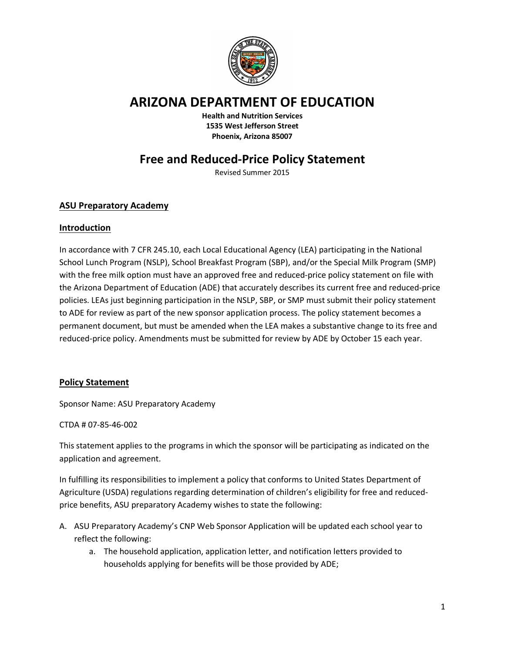

## **ARIZONA DEPARTMENT OF EDUCATION**

**Health and Nutrition Services 1535 West Jefferson Street Phoenix, Arizona 85007**

# **Free and Reduced-Price Policy Statement**

Revised Summer 2015

## **ASU Preparatory Academy**

### **Introduction**

In accordance with 7 CFR 245.10, each Local Educational Agency (LEA) participating in the National School Lunch Program (NSLP), School Breakfast Program (SBP), and/or the Special Milk Program (SMP) with the free milk option must have an approved free and reduced-price policy statement on file with the Arizona Department of Education (ADE) that accurately describes its current free and reduced-price policies. LEAs just beginning participation in the NSLP, SBP, or SMP must submit their policy statement to ADE for review as part of the new sponsor application process. The policy statement becomes a permanent document, but must be amended when the LEA makes a substantive change to its free and reduced-price policy. Amendments must be submitted for review by ADE by October 15 each year.

### **Policy Statement**

Sponsor Name: ASU Preparatory Academy

CTDA # 07-85-46-002

This statement applies to the programs in which the sponsor will be participating as indicated on the application and agreement.

In fulfilling its responsibilities to implement a policy that conforms to United States Department of Agriculture (USDA) regulations regarding determination of children's eligibility for free and reducedprice benefits, ASU preparatory Academy wishes to state the following:

- A. ASU Preparatory Academy's CNP Web Sponsor Application will be updated each school year to reflect the following:
	- a. The household application, application letter, and notification letters provided to households applying for benefits will be those provided by ADE;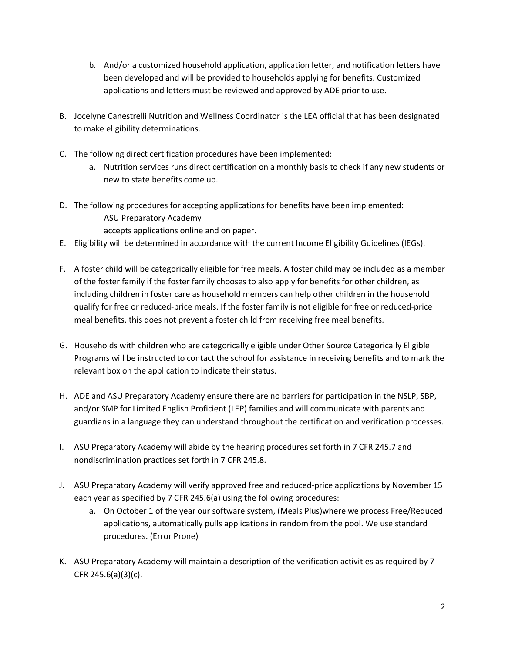- b. And/or a customized household application, application letter, and notification letters have been developed and will be provided to households applying for benefits. Customized applications and letters must be reviewed and approved by ADE prior to use.
- B. Jocelyne Canestrelli Nutrition and Wellness Coordinator is the LEA official that has been designated to make eligibility determinations.
- C. The following direct certification procedures have been implemented:
	- a. Nutrition services runs direct certification on a monthly basis to check if any new students or new to state benefits come up.
- D. The following procedures for accepting applications for benefits have been implemented: ASU Preparatory Academy
	- accepts applications online and on paper.
- E. Eligibility will be determined in accordance with the current Income Eligibility Guidelines (IEGs).
- F. A foster child will be categorically eligible for free meals. A foster child may be included as a member of the foster family if the foster family chooses to also apply for benefits for other children, as including children in foster care as household members can help other children in the household qualify for free or reduced-price meals. If the foster family is not eligible for free or reduced-price meal benefits, this does not prevent a foster child from receiving free meal benefits.
- G. Households with children who are categorically eligible under Other Source Categorically Eligible Programs will be instructed to contact the school for assistance in receiving benefits and to mark the relevant box on the application to indicate their status.
- H. ADE and ASU Preparatory Academy ensure there are no barriers for participation in the NSLP, SBP, and/or SMP for Limited English Proficient (LEP) families and will communicate with parents and guardians in a language they can understand throughout the certification and verification processes.
- I. ASU Preparatory Academy will abide by the hearing procedures set forth in 7 CFR 245.7 and nondiscrimination practices set forth in 7 CFR 245.8.
- J. ASU Preparatory Academy will verify approved free and reduced-price applications by November 15 each year as specified by 7 CFR 245.6(a) using the following procedures:
	- a. On October 1 of the year our software system, (Meals Plus)where we process Free/Reduced applications, automatically pulls applications in random from the pool. We use standard procedures. (Error Prone)
- K. ASU Preparatory Academy will maintain a description of the verification activities as required by 7 CFR 245.6(a)(3)(c).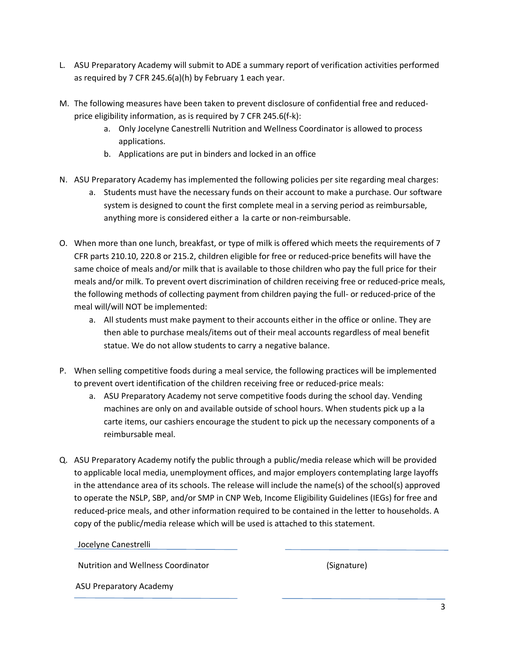- L. ASU Preparatory Academy will submit to ADE a summary report of verification activities performed as required by 7 CFR 245.6(a)(h) by February 1 each year.
- M. The following measures have been taken to prevent disclosure of confidential free and reducedprice eligibility information, as is required by 7 CFR 245.6(f-k):
	- a. Only Jocelyne Canestrelli Nutrition and Wellness Coordinator is allowed to process applications.
	- b. Applications are put in binders and locked in an office
- N. ASU Preparatory Academy has implemented the following policies per site regarding meal charges:
	- a. Students must have the necessary funds on their account to make a purchase. Our software system is designed to count the first complete meal in a serving period as reimbursable, anything more is considered either a la carte or non-reimbursable.
- O. When more than one lunch, breakfast, or type of milk is offered which meets the requirements of 7 CFR parts 210.10, 220.8 or 215.2, children eligible for free or reduced-price benefits will have the same choice of meals and/or milk that is available to those children who pay the full price for their meals and/or milk. To prevent overt discrimination of children receiving free or reduced-price meals, the following methods of collecting payment from children paying the full- or reduced-price of the meal will/will NOT be implemented:
	- a. All students must make payment to their accounts either in the office or online. They are then able to purchase meals/items out of their meal accounts regardless of meal benefit statue. We do not allow students to carry a negative balance.
- P. When selling competitive foods during a meal service, the following practices will be implemented to prevent overt identification of the children receiving free or reduced-price meals:
	- a. ASU Preparatory Academy not serve competitive foods during the school day. Vending machines are only on and available outside of school hours. When students pick up a la carte items, our cashiers encourage the student to pick up the necessary components of a reimbursable meal.
- Q. ASU Preparatory Academy notify the public through a public/media release which will be provided to applicable local media, unemployment offices, and major employers contemplating large layoffs in the attendance area of its schools. The release will include the name(s) of the school(s) approved to operate the NSLP, SBP, and/or SMP in CNP Web, Income Eligibility Guidelines (IEGs) for free and reduced-price meals, and other information required to be contained in the letter to households. A copy of the public/media release which will be used is attached to this statement.

#### Jocelyne Canestrelli

Nutrition and Wellness Coordinator (Signature)

ASU Preparatory Academy